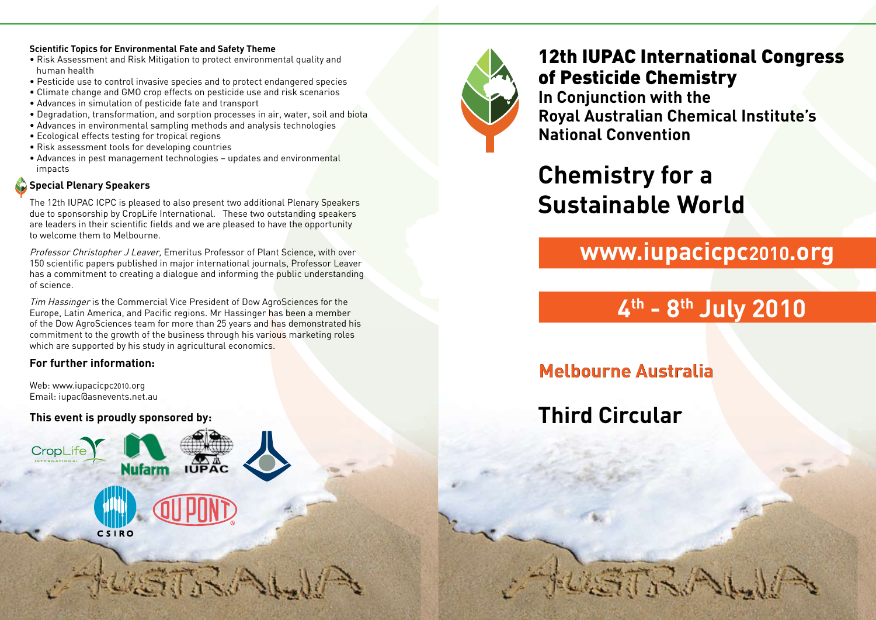#### **Scientific Topics for Environmental Fate and Safety Theme**

- Risk Assessment and Risk Mitigation to protect environmental quality and human health
- Pesticide use to control invasive species and to protect endangered species
- Climate change and GMO crop effects on pesticide use and risk scenarios
- Advances in simulation of pesticide fate and transport
- Degradation, transformation, and sorption processes in air, water, soil and biota
- Advances in environmental sampling methods and analysis technologies
- Ecological effects testing for tropical regions
- Risk assessment tools for developing countries
- Advances in pest management technologies updates and environmental impacts

### **Special Plenary Speakers**

The 12th IUPAC ICPC is pleased to also present two additional Plenary Speakers due to sponsorship by CropLife International. These two outstanding speakers are leaders in their scientific fields and we are pleased to have the opportunity to welcome them to Melbourne.

Professor Christopher J Leaver, Emeritus Professor of Plant Science, with over 150 scientific papers published in major international journals, Professor Leaver has a commitment to creating a dialogue and informing the public understanding of science.

Tim Hassinger is the Commercial Vice President of Dow AgroSciences for the Europe, Latin America, and Pacific regions. Mr Hassinger has been a member of the Dow AgroSciences team for more than 25 years and has demonstrated his commitment to the growth of the business through his various marketing roles which are supported by his study in agricultural economics.

ASTIS A

#### **For further information:**

Web: www.iupacicpc2010.org Email: iupac@asnevents.net.au

#### **This event is proudly sponsored by:**

CSIRO





12th IUPAC International Congress of Pesticide Chemistry **In Conjunction with the Royal Australian Chemical Institute's National Convention**

**Chemistry for a Sustainable World**

# **www.iupacicpc2010.org**

# **4th - 8th July 2010**

**Melbourne Australia**

STRA

**Third Circular**